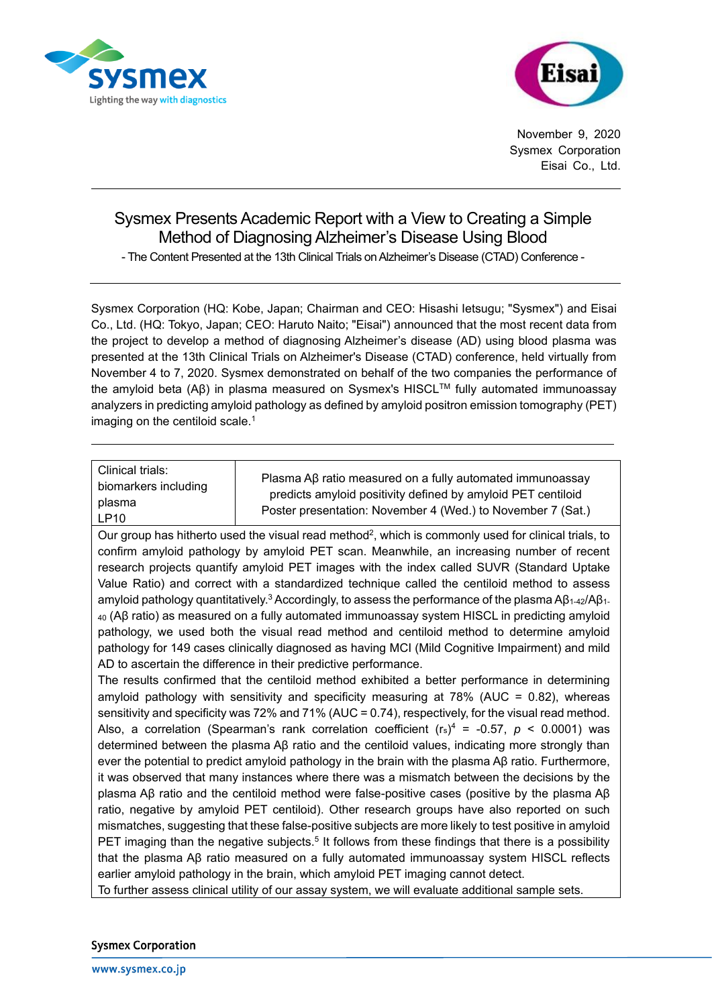



November 9, 2020 Sysmex Corporation Eisai Co., Ltd.

## Sysmex Presents Academic Report with a View to Creating a Simple Method of Diagnosing Alzheimer's Disease Using Blood

- The Content Presented at the 13th Clinical Trials on Alzheimer's Disease (CTAD) Conference -

Sysmex Corporation (HQ: Kobe, Japan; Chairman and CEO: Hisashi Ietsugu; "Sysmex") and Eisai Co., Ltd. (HQ: Tokyo, Japan; CEO: Haruto Naito; "Eisai") announced that the most recent data from the project to develop a method of diagnosing Alzheimer's disease (AD) using blood plasma was presented at the 13th Clinical Trials on Alzheimer's Disease (CTAD) conference, held virtually from November 4 to 7, 2020. Sysmex demonstrated on behalf of the two companies the performance of the amyloid beta (Aβ) in plasma measured on Sysmex's HISCL™ fully automated immunoassay analyzers in predicting amyloid pathology as defined by amyloid positron emission tomography (PET) imaging on the centiloid scale.<sup>1</sup>

| Clinical trials:<br>biomarkers including<br>plasma<br>LP10                                                                                                                                                   | Plasma Aβ ratio measured on a fully automated immunoassay<br>predicts amyloid positivity defined by amyloid PET centiloid<br>Poster presentation: November 4 (Wed.) to November 7 (Sat.) |
|--------------------------------------------------------------------------------------------------------------------------------------------------------------------------------------------------------------|------------------------------------------------------------------------------------------------------------------------------------------------------------------------------------------|
| Our group has hitherto used the visual read method <sup>2</sup> , which is commonly used for clinical trials, to<br>confirm amyloid pathology by amyloid DET scan. Meanwhile, an increasing number of recent |                                                                                                                                                                                          |

confirm amyloid pathology by amyloid PET scan. Meanwhile, an increasing number of recent research projects quantify amyloid PET images with the index called SUVR (Standard Uptake Value Ratio) and correct with a standardized technique called the centiloid method to assess amyloid pathology quantitatively.<sup>3</sup> Accordingly, to assess the performance of the plasma A $\beta_{1-42}/\beta_{1-42}$ <sup>40</sup> (Aβ ratio) as measured on a fully automated immunoassay system HISCL in predicting amyloid pathology, we used both the visual read method and centiloid method to determine amyloid pathology for 149 cases clinically diagnosed as having MCI (Mild Cognitive Impairment) and mild AD to ascertain the difference in their predictive performance.

The results confirmed that the centiloid method exhibited a better performance in determining amyloid pathology with sensitivity and specificity measuring at  $78\%$  (AUC = 0.82), whereas sensitivity and specificity was 72% and 71% (AUC = 0.74), respectively, for the visual read method. Also, a correlation (Spearman's rank correlation coefficient  $(r_s)^4$  = -0.57,  $p < 0.0001$ ) was determined between the plasma Aβ ratio and the centiloid values, indicating more strongly than ever the potential to predict amyloid pathology in the brain with the plasma Aβ ratio. Furthermore, it was observed that many instances where there was a mismatch between the decisions by the plasma Aβ ratio and the centiloid method were false-positive cases (positive by the plasma Aβ ratio, negative by amyloid PET centiloid). Other research groups have also reported on such mismatches, suggesting that these false-positive subjects are more likely to test positive in amyloid PET imaging than the negative subjects.<sup>5</sup> It follows from these findings that there is a possibility that the plasma Aβ ratio measured on a fully automated immunoassay system HISCL reflects earlier amyloid pathology in the brain, which amyloid PET imaging cannot detect.

To further assess clinical utility of our assay system, we will evaluate additional sample sets.

## **Sysmex Corporation**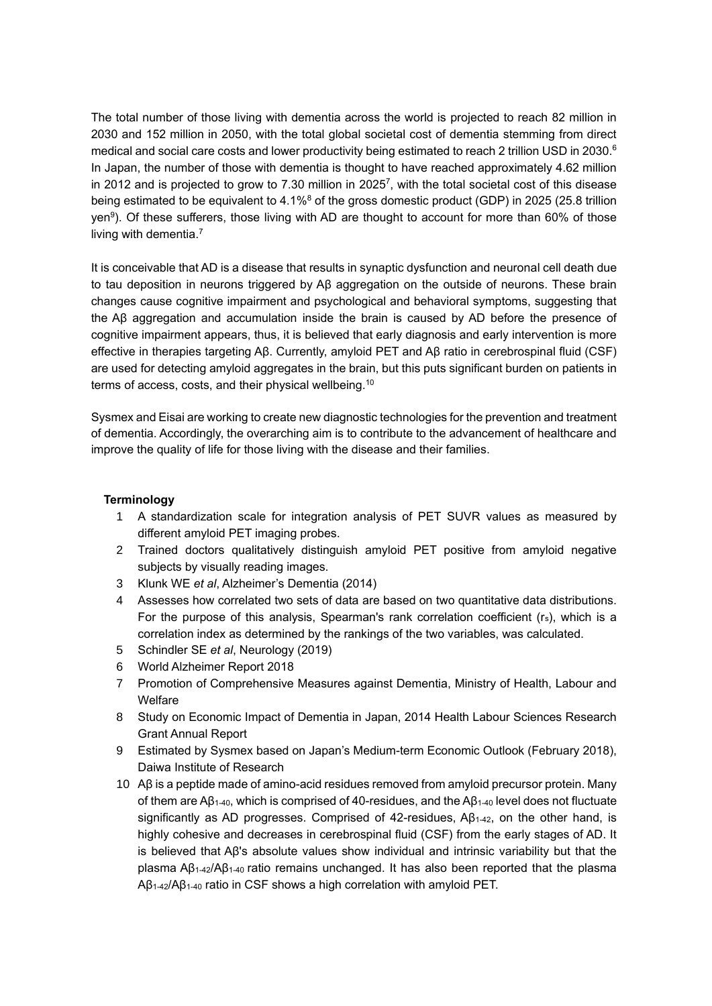The total number of those living with dementia across the world is projected to reach 82 million in 2030 and 152 million in 2050, with the total global societal cost of dementia stemming from direct medical and social care costs and lower productivity being estimated to reach 2 trillion USD in 2030.<sup>6</sup> In Japan, the number of those with dementia is thought to have reached approximately 4.62 million in 2012 and is projected to grow to 7.30 million in 2025<sup>7</sup>, with the total societal cost of this disease being estimated to be equivalent to 4.1%<sup>8</sup> of the gross domestic product (GDP) in 2025 (25.8 trillion yen<sup>9</sup>). Of these sufferers, those living with AD are thought to account for more than 60% of those living with dementia.<sup>7</sup>

It is conceivable that AD is a disease that results in synaptic dysfunction and neuronal cell death due to tau deposition in neurons triggered by Aβ aggregation on the outside of neurons. These brain changes cause cognitive impairment and psychological and behavioral symptoms, suggesting that the Aβ aggregation and accumulation inside the brain is caused by AD before the presence of cognitive impairment appears, thus, it is believed that early diagnosis and early intervention is more effective in therapies targeting Aβ. Currently, amyloid PET and Aβ ratio in cerebrospinal fluid (CSF) are used for detecting amyloid aggregates in the brain, but this puts significant burden on patients in terms of access, costs, and their physical wellbeing.<sup>10</sup>

Sysmex and Eisai are working to create new diagnostic technologies for the prevention and treatment of dementia. Accordingly, the overarching aim is to contribute to the advancement of healthcare and improve the quality of life for those living with the disease and their families.

## **Terminology**

- 1 A standardization scale for integration analysis of PET SUVR values as measured by different amyloid PET imaging probes.
- 2 Trained doctors qualitatively distinguish amyloid PET positive from amyloid negative subjects by visually reading images.
- 3 Klunk WE *et al*, Alzheimer's Dementia (2014)
- 4 Assesses how correlated two sets of data are based on two quantitative data distributions. For the purpose of this analysis, Spearman's rank correlation coefficient  $(r_s)$ , which is a correlation index as determined by the rankings of the two variables, was calculated.
- 5 Schindler SE *et al*, Neurology (2019)
- 6 World Alzheimer Report 2018
- 7 Promotion of Comprehensive Measures against Dementia, Ministry of Health, Labour and Welfare
- 8 Study on Economic Impact of Dementia in Japan, 2014 Health Labour Sciences Research Grant Annual Report
- 9 Estimated by Sysmex based on Japan's Medium-term Economic Outlook (February 2018), Daiwa Institute of Research
- 10 Aβ is a peptide made of amino-acid residues removed from amyloid precursor protein. Many of them are  $AB_{1-40}$ , which is comprised of 40-residues, and the  $AB_{1-40}$  level does not fluctuate significantly as AD progresses. Comprised of 42-residues, Aβ1-42, on the other hand, is highly cohesive and decreases in cerebrospinal fluid (CSF) from the early stages of AD. It is believed that Aβ's absolute values show individual and intrinsic variability but that the plasma  $\frac{AB_{1-42}}{AB_{1-40}}$  ratio remains unchanged. It has also been reported that the plasma  $AB_{1-42}/AB_{1-40}$  ratio in CSF shows a high correlation with amyloid PET.